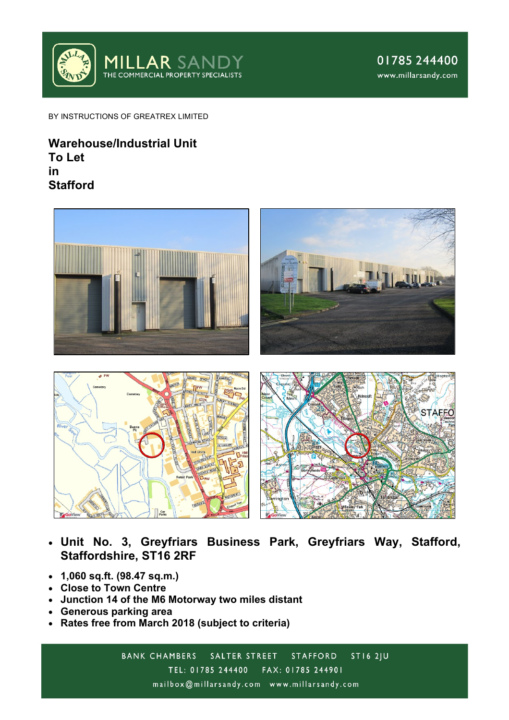

BY INSTRUCTIONS OF GREATREX LIMITED

# **Warehouse/Industrial Unit To Let in Stafford**



- **Unit No. 3, Greyfriars Business Park, Greyfriars Way, Stafford, Staffordshire, ST16 2RF**
- **1,060 sq.ft. (98.47 sq.m.)**
- **Close to Town Centre**
- **Junction 14 of the M6 Motorway two miles distant**
- **Generous parking area**
- **Rates free from March 2018 (subject to criteria)**

**BANK CHAMBERS** SALTER STREET **ST16 2JU STAFFORD** TEL: 01785 244400 FAX: 01785 244901 mailbox@millarsandy.com www.millarsandy.com